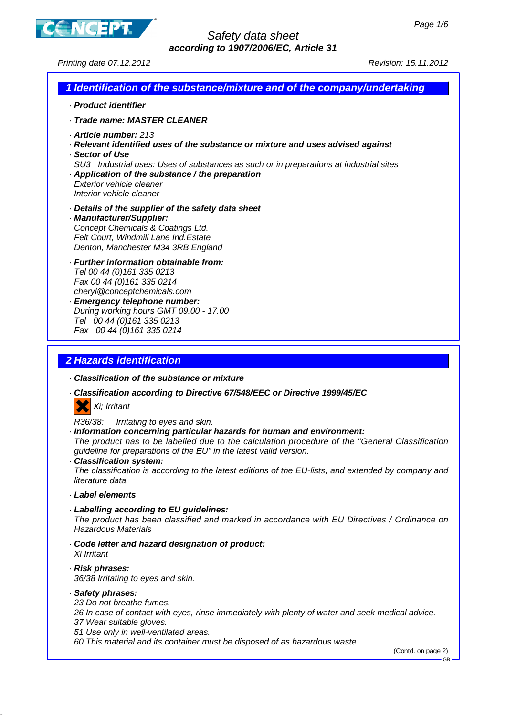

### Safety data sheet **according to 1907/2006/EC, Article 31**

Printing date 07.12.2012 Revision: 15.11.2012

| · Product identifier<br>· Trade name: MASTER CLEANER<br>· Article number: 213<br>· Relevant identified uses of the substance or mixture and uses advised against<br>· Sector of Use<br>SU3 Industrial uses: Uses of substances as such or in preparations at industrial sites<br>Application of the substance / the preparation<br>Exterior vehicle cleaner<br>Interior vehicle cleaner<br>Details of the supplier of the safety data sheet<br>· Manufacturer/Supplier:<br>Concept Chemicals & Coatings Ltd.<br>Felt Court, Windmill Lane Ind. Estate |  |
|-------------------------------------------------------------------------------------------------------------------------------------------------------------------------------------------------------------------------------------------------------------------------------------------------------------------------------------------------------------------------------------------------------------------------------------------------------------------------------------------------------------------------------------------------------|--|
|                                                                                                                                                                                                                                                                                                                                                                                                                                                                                                                                                       |  |
|                                                                                                                                                                                                                                                                                                                                                                                                                                                                                                                                                       |  |
|                                                                                                                                                                                                                                                                                                                                                                                                                                                                                                                                                       |  |
| Denton, Manchester M34 3RB England                                                                                                                                                                                                                                                                                                                                                                                                                                                                                                                    |  |
| · Further information obtainable from:<br>Tel 00 44 (0)161 335 0213<br>Fax 00 44 (0) 161 335 0214<br>cheryl@conceptchemicals.com<br><b>Emergency telephone number:</b><br>During working hours GMT 09.00 - 17.00<br>Tel 00 44 (0) 161 335 0213<br>Fax 00 44 (0) 161 335 0214                                                                                                                                                                                                                                                                          |  |
| <b>2 Hazards identification</b><br>Classification of the substance or mixture                                                                                                                                                                                                                                                                                                                                                                                                                                                                         |  |
| · Classification according to Directive 67/548/EEC or Directive 1999/45/EC<br>Xi; Irritant                                                                                                                                                                                                                                                                                                                                                                                                                                                            |  |
| R36/38:<br>Irritating to eyes and skin.<br>Information concerning particular hazards for human and environment:<br>The product has to be labelled due to the calculation procedure of the "General Classification<br>guideline for preparations of the EU" in the latest valid version.<br>Classification system:<br>The classification is according to the latest editions of the EU-lists, and extended by company and<br>literature data.                                                                                                          |  |
| · Label elements                                                                                                                                                                                                                                                                                                                                                                                                                                                                                                                                      |  |
| · Labelling according to EU guidelines:<br>The product has been classified and marked in accordance with EU Directives / Ordinance on<br><b>Hazardous Materials</b>                                                                                                                                                                                                                                                                                                                                                                                   |  |
| Code letter and hazard designation of product:<br>Xi Irritant                                                                                                                                                                                                                                                                                                                                                                                                                                                                                         |  |
| · Risk phrases:<br>36/38 Irritating to eyes and skin.                                                                                                                                                                                                                                                                                                                                                                                                                                                                                                 |  |

- 26 In case of contact with eyes, rinse immediately with plenty of water and seek medical advice. 37 Wear suitable gloves.
- 51 Use only in well-ventilated areas.
- 60 This material and its container must be disposed of as hazardous waste.

(Contd. on page 2)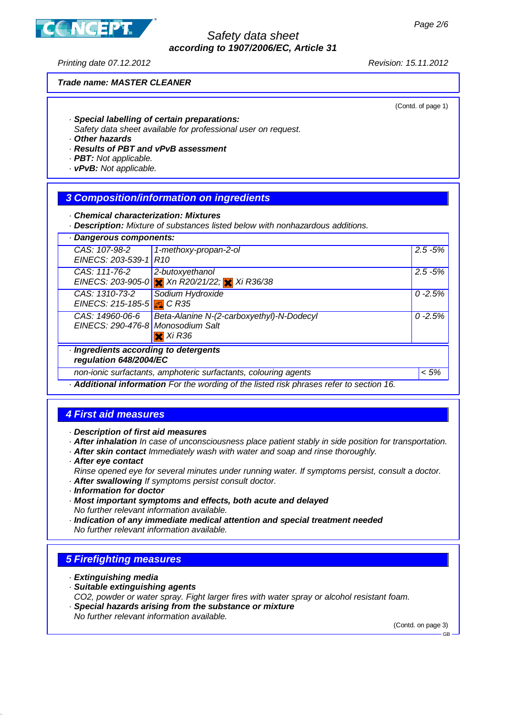

#### Safety data sheet **according to 1907/2006/EC, Article 31**

Printing date 07.12.2012 Revision: 15.11.2012

#### **Trade name: MASTER CLEANER**

(Contd. of page 1)

- · **Special labelling of certain preparations:**
- Safety data sheet available for professional user on request.
- · **Other hazards**
- · **Results of PBT and vPvB assessment**
- · **PBT:** Not applicable.
- · **vPvB:** Not applicable.

#### **3 Composition/information on ingredients**

· **Chemical characterization: Mixtures**

· **Description:** Mixture of substances listed below with nonhazardous additions.

| · Dangerous components:                                         |                                                                                       |            |
|-----------------------------------------------------------------|---------------------------------------------------------------------------------------|------------|
| CAS: 107-98-2<br>EINECS: 203-539-1 R10                          | 1-methoxy-propan-2-ol                                                                 | $2.5 - 5%$ |
| CAS: 111-76-2                                                   | 2-butoxyethanol<br>EINECS: 203-905-0 <del>X</del> Xn R20/21/22; X Xi R36/38           | $2.5 - 5%$ |
| CAS: 1310-73-2<br>EINECS: 215-185-5 3 C R35                     | Sodium Hydroxide                                                                      | $0 - 2.5%$ |
| CAS: 14960-06-6<br>EINECS: 290-476-8 Monosodium Salt            | Beta-Alanine N-(2-carboxyethyl)-N-Dodecyl<br>$\overline{\mathbf{x}}$ Xi R36           | $0 - 2.5%$ |
| · Ingredients according to detergents<br>regulation 648/2004/EC |                                                                                       |            |
|                                                                 | non-ionic surfactants, amphoteric surfactants, colouring agents                       | < 5%       |
|                                                                 | Additional information For the wording of the listed risk phrases refer to section 16 |            |

· **Additional information** For the wording of the listed risk phrases refer to section 16.

### **4 First aid measures**

· **Description of first aid measures**

- · **After inhalation** In case of unconsciousness place patient stably in side position for transportation.
- · **After skin contact** Immediately wash with water and soap and rinse thoroughly.
- · **After eye contact**
- Rinse opened eye for several minutes under running water. If symptoms persist, consult a doctor.
- · **After swallowing** If symptoms persist consult doctor.
- · **Information for doctor**
- · **Most important symptoms and effects, both acute and delayed**
- No further relevant information available.
- · **Indication of any immediate medical attention and special treatment needed** No further relevant information available.

#### **5 Firefighting measures**

- · **Extinguishing media**
- · **Suitable extinguishing agents**
- CO2, powder or water spray. Fight larger fires with water spray or alcohol resistant foam.
- · **Special hazards arising from the substance or mixture** No further relevant information available.

(Contd. on page 3)

GB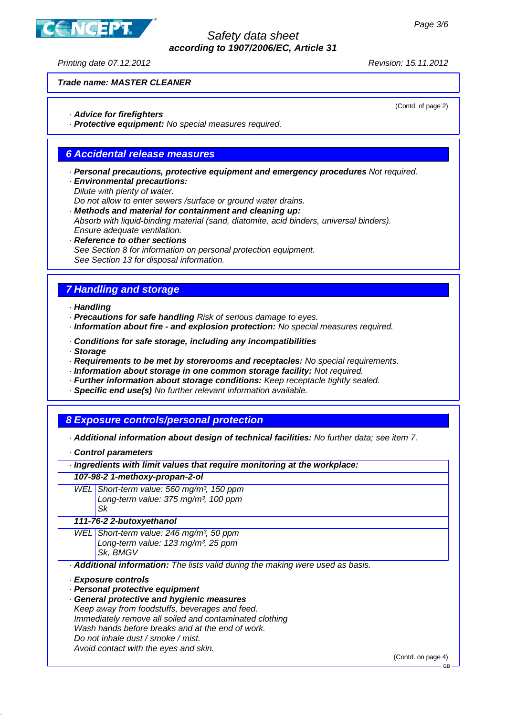**JCEPT** 

## Safety data sheet **according to 1907/2006/EC, Article 31**

Printing date 07.12.2012 Revision: 15.11.2012

(Contd. of page 2)

## **Trade name: MASTER CLEANER**

· **Advice for firefighters**

· **Protective equipment:** No special measures required.

# **6 Accidental release measures**

- · **Personal precautions, protective equipment and emergency procedures** Not required.
- · **Environmental precautions:**
	- Dilute with plenty of water.

Do not allow to enter sewers /surface or ground water drains.

- · **Methods and material for containment and cleaning up:** Absorb with liquid-binding material (sand, diatomite, acid binders, universal binders). Ensure adequate ventilation.
- · **Reference to other sections** See Section 8 for information on personal protection equipment. See Section 13 for disposal information.

# **7 Handling and storage**

- · **Handling**
- · **Precautions for safe handling** Risk of serious damage to eyes.
- · **Information about fire and explosion protection:** No special measures required.
- · **Conditions for safe storage, including any incompatibilities**
- · **Storage**
- · **Requirements to be met by storerooms and receptacles:** No special requirements.
- · **Information about storage in one common storage facility:** Not required.
- · **Further information about storage conditions:** Keep receptacle tightly sealed.
- · **Specific end use(s)** No further relevant information available.

### **8 Exposure controls/personal protection**

- · **Additional information about design of technical facilities:** No further data; see item 7.
- · **Control parameters**
- · **Ingredients with limit values that require monitoring at the workplace:**

#### **107-98-2 1-methoxy-propan-2-ol**

WEL Short-term value: 560 mg/m<sup>3</sup>, 150 ppm Long-term value: 375 mg/m<sup>3</sup>, 100 ppm Sk

#### **111-76-2 2-butoxyethanol**

WEL Short-term value: 246 mg/m<sup>3</sup>, 50 ppm Long-term value: 123 mg/m<sup>3</sup>, 25 ppm Sk, BMGV

· **Additional information:** The lists valid during the making were used as basis.

- · **Exposure controls**
- · **Personal protective equipment**
- · **General protective and hygienic measures** Keep away from foodstuffs, beverages and feed. Immediately remove all soiled and contaminated clothing Wash hands before breaks and at the end of work. Do not inhale dust / smoke / mist. Avoid contact with the eyes and skin.

(Contd. on page 4)

GB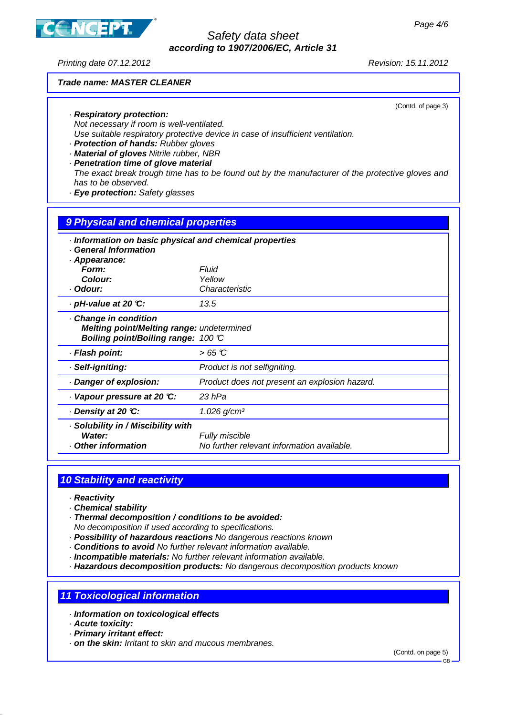**JCEPT** 

### Safety data sheet **according to 1907/2006/EC, Article 31**

Printing date 07.12.2012 Revision: 15.11.2012

## **Trade name: MASTER CLEANER**

(Contd. of page 3)

- · **Respiratory protection:**
- Not necessary if room is well-ventilated.
- Use suitable respiratory protective device in case of insufficient ventilation.
- · **Protection of hands:** Rubber gloves
- · **Material of gloves** Nitrile rubber, NBR
- · **Penetration time of glove material**
- The exact break trough time has to be found out by the manufacturer of the protective gloves and has to be observed.
- · **Eye protection:** Safety glasses

| 9 Physical and chemical properties                                                                      |                                                              |  |  |
|---------------------------------------------------------------------------------------------------------|--------------------------------------------------------------|--|--|
| Information on basic physical and chemical properties<br><b>General Information</b>                     |                                                              |  |  |
| · Appearance:                                                                                           |                                                              |  |  |
| Form:                                                                                                   | Fluid                                                        |  |  |
| Colour:                                                                                                 | Yellow                                                       |  |  |
| · Odour:                                                                                                | Characteristic                                               |  |  |
| · pH-value at 20 ℃:                                                                                     | 13.5                                                         |  |  |
| Change in condition<br>Melting point/Melting range: undetermined<br>Boiling point/Boiling range: 100 °C |                                                              |  |  |
| · Flash point:                                                                                          | $>65$ C                                                      |  |  |
| · Self-igniting:                                                                                        | Product is not selfigniting.                                 |  |  |
| Danger of explosion:                                                                                    | Product does not present an explosion hazard.                |  |  |
| Vapour pressure at 20 °C:                                                                               | 23 hPa                                                       |  |  |
| Density at 20 °C:                                                                                       | $1.026$ g/cm <sup>3</sup>                                    |  |  |
| · Solubility in / Miscibility with<br>Water:<br>Other information                                       | Fully miscible<br>No further relevant information available. |  |  |

### **10 Stability and reactivity**

- · **Reactivity**
- · **Chemical stability**
- · **Thermal decomposition / conditions to be avoided:** No decomposition if used according to specifications.
- · **Possibility of hazardous reactions** No dangerous reactions known
- · **Conditions to avoid** No further relevant information available.
- · **Incompatible materials:** No further relevant information available.
- · **Hazardous decomposition products:** No dangerous decomposition products known

### **11 Toxicological information**

- · **Information on toxicological effects**
- · **Acute toxicity:**
- · **Primary irritant effect:**
- · **on the skin:** Irritant to skin and mucous membranes.

(Contd. on page 5)

GB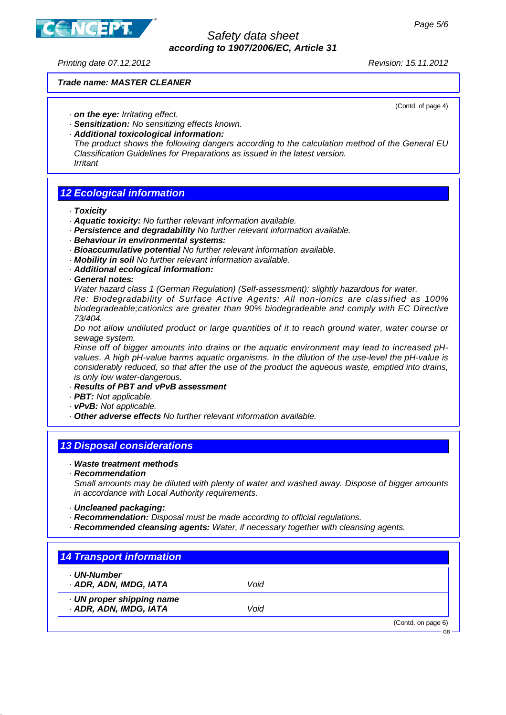

#### Safety data sheet **according to 1907/2006/EC, Article 31**

Printing date 07.12.2012 Revision: 15.11.2012

#### **Trade name: MASTER CLEANER**

(Contd. of page 4)

- · **on the eye:** Irritating effect.
- · **Sensitization:** No sensitizing effects known.
- · **Additional toxicological information:**

The product shows the following dangers according to the calculation method of the General EU Classification Guidelines for Preparations as issued in the latest version. Irritant

#### **12 Ecological information**

· **Toxicity**

- · **Aquatic toxicity:** No further relevant information available.
- · **Persistence and degradability** No further relevant information available.
- · **Behaviour in environmental systems:**
- · **Bioaccumulative potential** No further relevant information available.
- · **Mobility in soil** No further relevant information available.
- · **Additional ecological information:**
- · **General notes:**

Water hazard class 1 (German Regulation) (Self-assessment): slightly hazardous for water.

Re: Biodegradability of Surface Active Agents: All non-ionics are classified as 100% biodegradeable;cationics are greater than 90% biodegradeable and comply with EC Directive 73/404.

Do not allow undiluted product or large quantities of it to reach ground water, water course or sewage system.

Rinse off of bigger amounts into drains or the aquatic environment may lead to increased pHvalues. A high pH-value harms aquatic organisms. In the dilution of the use-level the pH-value is considerably reduced, so that after the use of the product the aqueous waste, emptied into drains, is only low water-dangerous.

#### · **Results of PBT and vPvB assessment**

- · **PBT:** Not applicable.
- · **vPvB:** Not applicable.
- · **Other adverse effects** No further relevant information available.

### **13 Disposal considerations**

#### · **Waste treatment methods**

· **Recommendation**

Small amounts may be diluted with plenty of water and washed away. Dispose of bigger amounts in accordance with Local Authority requirements.

- · **Uncleaned packaging:**
- · **Recommendation:** Disposal must be made according to official regulations.
- · **Recommended cleansing agents:** Water, if necessary together with cleansing agents.

### **14 Transport information**

- · **UN-Number**
- · **ADR, ADN, IMDG, IATA** Void

· **UN proper shipping name**

· **ADR, ADN, IMDG, IATA** Void

(Contd. on page 6)

GB